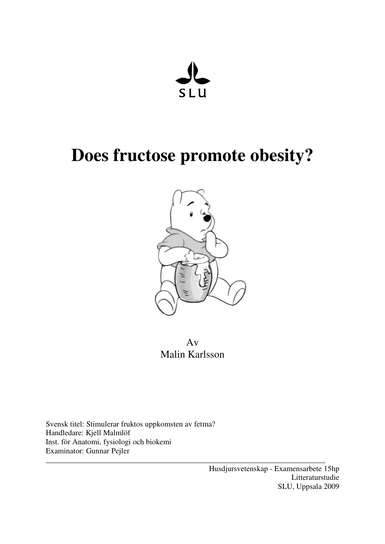

# **Does fructose promote obesity?**



Av Malin Karlsson

\_\_\_\_\_\_\_\_\_\_\_\_\_\_\_\_\_\_\_\_\_\_\_\_\_\_\_\_\_\_\_\_\_\_\_\_\_\_\_\_\_\_\_\_\_\_\_\_\_\_\_\_\_\_\_\_\_\_\_\_\_\_\_\_\_\_\_\_\_\_\_\_

Svensk titel: Stimulerar fruktos uppkomsten av fetma? Handledare: Kjell Malmlöf Inst. för Anatomi, fysiologi och biokemi Examinator: Gunnar Pejler

> Husdjursvetenskap - Examensarbete 15hp Litteraturstudie SLU, Uppsala 2009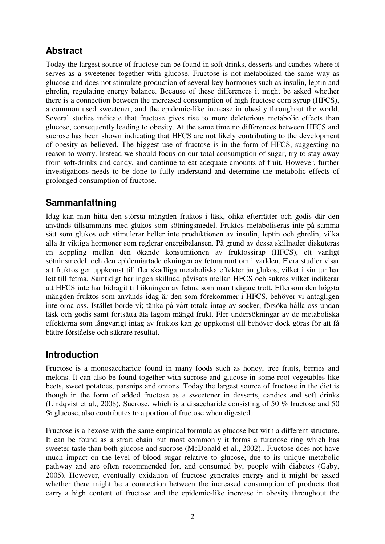# **Abstract**

Today the largest source of fructose can be found in soft drinks, desserts and candies where it serves as a sweetener together with glucose. Fructose is not metabolized the same way as glucose and does not stimulate production of several key-hormones such as insulin, leptin and ghrelin, regulating energy balance. Because of these differences it might be asked whether there is a connection between the increased consumption of high fructose corn syrup (HFCS), a common used sweetener, and the epidemic-like increase in obesity throughout the world. Several studies indicate that fructose gives rise to more deleterious metabolic effects than glucose, consequently leading to obesity. At the same time no differences between HFCS and sucrose has been shown indicating that HFCS are not likely contributing to the development of obesity as believed. The biggest use of fructose is in the form of HFCS, suggesting no reason to worry. Instead we should focus on our total consumption of sugar, try to stay away from soft-drinks and candy, and continue to eat adequate amounts of fruit. However, further investigations needs to be done to fully understand and determine the metabolic effects of prolonged consumption of fructose.

## **Sammanfattning**

Idag kan man hitta den största mängden fruktos i läsk, olika efterrätter och godis där den används tillsammans med glukos som sötningsmedel. Fruktos metaboliseras inte på samma sätt som glukos och stimulerar heller inte produktionen av insulin, leptin och ghrelin, vilka alla är viktiga hormoner som reglerar energibalansen. På grund av dessa skillnader diskuteras en koppling mellan den ökande konsumtionen av fruktossirap (HFCS), ett vanligt sötninsmedel, och den epidemiartade ökningen av fetma runt om i världen. Flera studier visar att fruktos ger uppkomst till fler skadliga metaboliska effekter än glukos, vilket i sin tur har lett till fetma. Samtidigt har ingen skillnad påvisats mellan HFCS och sukros vilket indikerar att HFCS inte har bidragit till ökningen av fetma som man tidigare trott. Eftersom den högsta mängden fruktos som används idag är den som förekommer i HFCS, behöver vi antagligen inte oroa oss. Istället borde vi; tänka på vårt totala intag av socker, försöka hålla oss undan läsk och godis samt fortsätta äta lagom mängd frukt. Fler undersökningar av de metaboliska effekterna som långvarigt intag av fruktos kan ge uppkomst till behöver dock göras för att få bättre förståelse och säkrare resultat.

## **Introduction**

Fructose is a monosaccharide found in many foods such as honey, tree fruits, berries and melons. It can also be found together with sucrose and glucose in some root vegetables like beets, sweet potatoes, parsnips and onions. Today the largest source of fructose in the diet is though in the form of added fructose as a sweetener in desserts, candies and soft drinks (Lindqvist et al., 2008). Sucrose, which is a disaccharide consisting of 50 % fructose and 50 % glucose, also contributes to a portion of fructose when digested.

Fructose is a hexose with the same empirical formula as glucose but with a different structure. It can be found as a strait chain but most commonly it forms a furanose ring which has sweeter taste than both glucose and sucrose (McDonald et al., 2002).. Fructose does not have much impact on the level of blood sugar relative to glucose, due to its unique metabolic pathway and are often recommended for, and consumed by, people with diabetes (Gaby, 2005). However, eventually oxidation of fructose generates energy and it might be asked whether there might be a connection between the increased consumption of products that carry a high content of fructose and the epidemic-like increase in obesity throughout the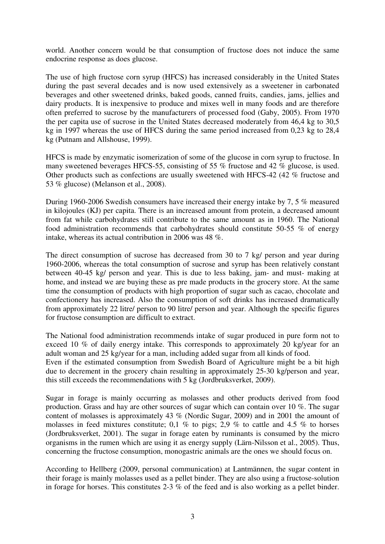world. Another concern would be that consumption of fructose does not induce the same endocrine response as does glucose.

The use of high fructose corn syrup (HFCS) has increased considerably in the United States during the past several decades and is now used extensively as a sweetener in carbonated beverages and other sweetened drinks, baked goods, canned fruits, candies, jams, jellies and dairy products. It is inexpensive to produce and mixes well in many foods and are therefore often preferred to sucrose by the manufacturers of processed food (Gaby, 2005). From 1970 the per capita use of sucrose in the United States decreased moderately from 46,4 kg to 30,5 kg in 1997 whereas the use of HFCS during the same period increased from 0,23 kg to 28,4 kg (Putnam and Allshouse, 1999).

HFCS is made by enzymatic isomerization of some of the glucose in corn syrup to fructose. In many sweetened beverages HFCS-55, consisting of 55 % fructose and 42 % glucose, is used. Other products such as confections are usually sweetened with HFCS-42 (42 % fructose and 53 % glucose) (Melanson et al., 2008).

During 1960-2006 Swedish consumers have increased their energy intake by 7, 5 % measured in kilojoules (KJ) per capita. There is an increased amount from protein, a decreased amount from fat while carbohydrates still contribute to the same amount as in 1960. The National food administration recommends that carbohydrates should constitute 50-55 % of energy intake, whereas its actual contribution in 2006 was 48 %.

The direct consumption of sucrose has decreased from 30 to 7 kg/ person and year during 1960-2006, whereas the total consumption of sucrose and syrup has been relatively constant between 40-45 kg/ person and year. This is due to less baking, jam- and must- making at home, and instead we are buying these as pre made products in the grocery store. At the same time the consumption of products with high proportion of sugar such as cacao, chocolate and confectionery has increased. Also the consumption of soft drinks has increased dramatically from approximately 22 litre/ person to 90 litre/ person and year. Although the specific figures for fructose consumption are difficult to extract.

The National food administration recommends intake of sugar produced in pure form not to exceed 10 % of daily energy intake. This corresponds to approximately 20 kg/year for an adult woman and 25 kg/year for a man, including added sugar from all kinds of food.

Even if the estimated consumption from Swedish Board of Agriculture might be a bit high due to decrement in the grocery chain resulting in approximately 25-30 kg/person and year, this still exceeds the recommendations with 5 kg (Jordbruksverket, 2009).

Sugar in forage is mainly occurring as molasses and other products derived from food production. Grass and hay are other sources of sugar which can contain over 10 %. The sugar content of molasses is approximately 43 % (Nordic Sugar, 2009) and in 2001 the amount of molasses in feed mixtures constitute; 0,1 % to pigs; 2,9 % to cattle and 4.5 % to horses (Jordbruksverket, 2001). The sugar in forage eaten by ruminants is consumed by the micro organisms in the rumen which are using it as energy supply (Lärn-Nilsson et al., 2005). Thus, concerning the fructose consumption, monogastric animals are the ones we should focus on.

According to Hellberg (2009, personal communication) at Lantmännen, the sugar content in their forage is mainly molasses used as a pellet binder. They are also using a fructose-solution in forage for horses. This constitutes 2-3 % of the feed and is also working as a pellet binder.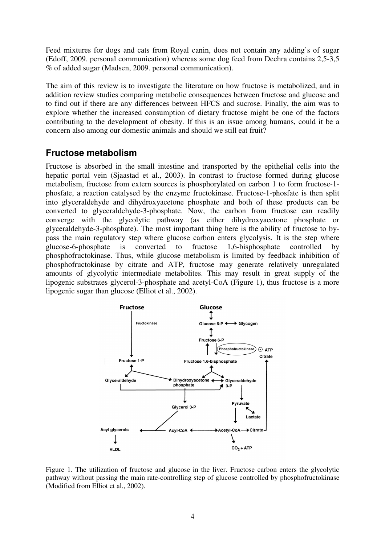Feed mixtures for dogs and cats from Royal canin, does not contain any adding's of sugar (Edoff, 2009. personal communication) whereas some dog feed from Dechra contains 2,5-3,5 % of added sugar (Madsen, 2009. personal communication).

The aim of this review is to investigate the literature on how fructose is metabolized, and in addition review studies comparing metabolic consequences between fructose and glucose and to find out if there are any differences between HFCS and sucrose. Finally, the aim was to explore whether the increased consumption of dietary fructose might be one of the factors contributing to the development of obesity. If this is an issue among humans, could it be a concern also among our domestic animals and should we still eat fruit?

## **Fructose metabolism**

Fructose is absorbed in the small intestine and transported by the epithelial cells into the hepatic portal vein (Sjaastad et al., 2003). In contrast to fructose formed during glucose metabolism, fructose from extern sources is phosphorylated on carbon 1 to form fructose-1 phosfate, a reaction catalysed by the enzyme fructokinase. Fructose-1-phosfate is then split into glyceraldehyde and dihydroxyacetone phosphate and both of these products can be converted to glyceraldehyde-3-phosphate. Now, the carbon from fructose can readily converge with the glycolytic pathway (as either dihydroxyacetone phosphate or glyceraldehyde-3-phosphate). The most important thing here is the ability of fructose to bypass the main regulatory step where glucose carbon enters glycolysis. It is the step where glucose-6-phosphate is converted to fructose 1,6-bisphosphate controlled by phosphofructokinase. Thus, while glucose metabolism is limited by feedback inhibition of phosphofructokinase by citrate and ATP, fructose may generate relatively unregulated amounts of glycolytic intermediate metabolites. This may result in great supply of the lipogenic substrates glycerol-3-phosphate and acetyl-CoA (Figure 1), thus fructose is a more lipogenic sugar than glucose (Elliot et al., 2002).



Figure 1. The utilization of fructose and glucose in the liver. Fructose carbon enters the glycolytic pathway without passing the main rate-controlling step of glucose controlled by phosphofructokinase (Modified from Elliot et al., 2002).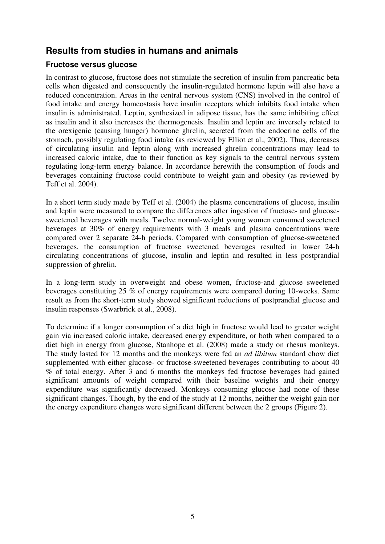## **Results from studies in humans and animals**

#### **Fructose versus glucose**

In contrast to glucose, fructose does not stimulate the secretion of insulin from pancreatic beta cells when digested and consequently the insulin-regulated hormone leptin will also have a reduced concentration. Areas in the central nervous system (CNS) involved in the control of food intake and energy homeostasis have insulin receptors which inhibits food intake when insulin is administrated. Leptin, synthesized in adipose tissue, has the same inhibiting effect as insulin and it also increases the thermogenesis. Insulin and leptin are inversely related to the orexigenic (causing hunger) hormone ghrelin, secreted from the endocrine cells of the stomach, possibly regulating food intake (as reviewed by Elliot et al., 2002). Thus, decreases of circulating insulin and leptin along with increased ghrelin concentrations may lead to increased caloric intake, due to their function as key signals to the central nervous system regulating long-term energy balance. In accordance herewith the consumption of foods and beverages containing fructose could contribute to weight gain and obesity (as reviewed by Teff et al. 2004).

In a short term study made by Teff et al. (2004) the plasma concentrations of glucose, insulin and leptin were measured to compare the differences after ingestion of fructose- and glucosesweetened beverages with meals. Twelve normal-weight young women consumed sweetened beverages at 30% of energy requirements with 3 meals and plasma concentrations were compared over 2 separate 24-h periods. Compared with consumption of glucose-sweetened beverages, the consumption of fructose sweetened beverages resulted in lower 24-h circulating concentrations of glucose, insulin and leptin and resulted in less postprandial suppression of ghrelin.

In a long-term study in overweight and obese women, fructose-and glucose sweetened beverages constituting 25 % of energy requirements were compared during 10-weeks. Same result as from the short-term study showed significant reductions of postprandial glucose and insulin responses (Swarbrick et al., 2008).

To determine if a longer consumption of a diet high in fructose would lead to greater weight gain via increased caloric intake, decreased energy expenditure, or both when compared to a diet high in energy from glucose, Stanhope et al. (2008) made a study on rhesus monkeys. The study lasted for 12 months and the monkeys were fed an *ad libitum* standard chow diet supplemented with either glucose- or fructose-sweetened beverages contributing to about 40 % of total energy. After 3 and 6 months the monkeys fed fructose beverages had gained significant amounts of weight compared with their baseline weights and their energy expenditure was significantly decreased. Monkeys consuming glucose had none of these significant changes. Though, by the end of the study at 12 months, neither the weight gain nor the energy expenditure changes were significant different between the 2 groups (Figure 2).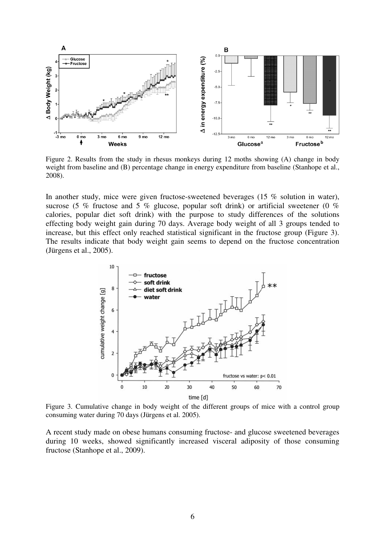

Figure 2. Results from the study in rhesus monkeys during 12 moths showing (A) change in body weight from baseline and (B) percentage change in energy expenditure from baseline (Stanhope et al., 2008).

In another study, mice were given fructose-sweetened beverages (15 % solution in water), sucrose (5 % fructose and 5 % glucose, popular soft drink) or artificial sweetener (0 % calories, popular diet soft drink) with the purpose to study differences of the solutions effecting body weight gain during 70 days. Average body weight of all 3 groups tended to increase, but this effect only reached statistical significant in the fructose group (Figure 3). The results indicate that body weight gain seems to depend on the fructose concentration (Jürgens et al., 2005).



Figure 3. Cumulative change in body weight of the different groups of mice with a control group consuming water during 70 days (Jürgens et al. 2005).

A recent study made on obese humans consuming fructose- and glucose sweetened beverages during 10 weeks, showed significantly increased visceral adiposity of those consuming fructose (Stanhope et al., 2009).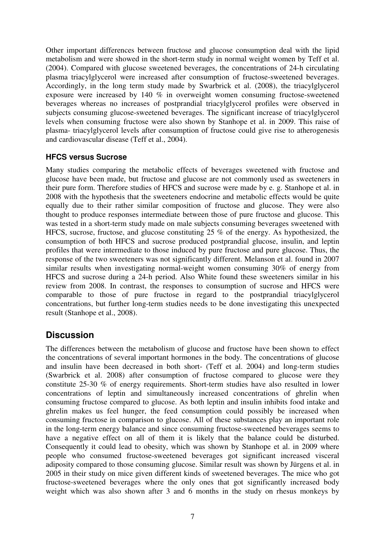Other important differences between fructose and glucose consumption deal with the lipid metabolism and were showed in the short-term study in normal weight women by Teff et al. (2004). Compared with glucose sweetened beverages, the concentrations of 24-h circulating plasma triacylglycerol were increased after consumption of fructose-sweetened beverages. Accordingly, in the long term study made by Swarbrick et al. (2008), the triacylglycerol exposure were increased by 140 % in overweight women consuming fructose-sweetened beverages whereas no increases of postprandial triacylglycerol profiles were observed in subjects consuming glucose-sweetened beverages. The significant increase of triacylglycerol levels when consuming fructose were also shown by Stanhope et al. in 2009. This raise of plasma- triacylglycerol levels after consumption of fructose could give rise to atherogenesis and cardiovascular disease (Teff et al., 2004).

#### **HFCS versus Sucrose**

Many studies comparing the metabolic effects of beverages sweetened with fructose and glucose have been made, but fructose and glucose are not commonly used as sweeteners in their pure form. Therefore studies of HFCS and sucrose were made by e. g. Stanhope et al. in 2008 with the hypothesis that the sweeteners endocrine and metabolic effects would be quite equally due to their rather similar composition of fructose and glucose. They were also thought to produce responses intermediate between those of pure fructose and glucose. This was tested in a short-term study made on male subjects consuming beverages sweetened with HFCS, sucrose, fructose, and glucose constituting 25 % of the energy. As hypothesized, the consumption of both HFCS and sucrose produced postprandial glucose, insulin, and leptin profiles that were intermediate to those induced by pure fructose and pure glucose. Thus, the response of the two sweeteners was not significantly different. Melanson et al. found in 2007 similar results when investigating normal-weight women consuming 30% of energy from HFCS and sucrose during a 24-h period. Also White found these sweeteners similar in his review from 2008. In contrast, the responses to consumption of sucrose and HFCS were comparable to those of pure fructose in regard to the postprandial triacylglycerol concentrations, but further long-term studies needs to be done investigating this unexpected result (Stanhope et al., 2008).

### **Discussion**

The differences between the metabolism of glucose and fructose have been shown to effect the concentrations of several important hormones in the body. The concentrations of glucose and insulin have been decreased in both short- (Teff et al. 2004) and long-term studies (Swarbrick et al. 2008) after consumption of fructose compared to glucose were they constitute 25-30 % of energy requirements. Short-term studies have also resulted in lower concentrations of leptin and simultaneously increased concentrations of ghrelin when consuming fructose compared to glucose. As both leptin and insulin inhibits food intake and ghrelin makes us feel hunger, the feed consumption could possibly be increased when consuming fructose in comparison to glucose. All of these substances play an important role in the long-term energy balance and since consuming fructose-sweetened beverages seems to have a negative effect on all of them it is likely that the balance could be disturbed. Consequently it could lead to obesity, which was shown by Stanhope et al. in 2009 where people who consumed fructose-sweetened beverages got significant increased visceral adiposity compared to those consuming glucose. Similar result was shown by Jürgens et al. in 2005 in their study on mice given different kinds of sweetened beverages. The mice who got fructose-sweetened beverages where the only ones that got significantly increased body weight which was also shown after 3 and 6 months in the study on rhesus monkeys by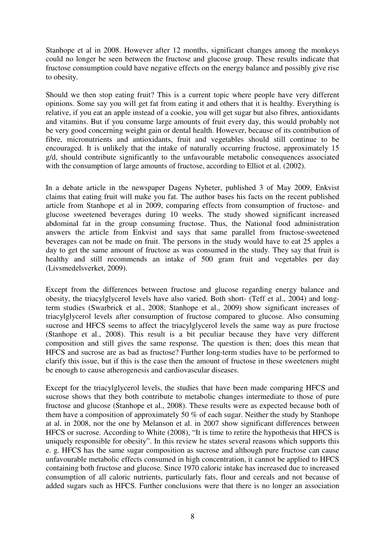Stanhope et al in 2008. However after 12 months, significant changes among the monkeys could no longer be seen between the fructose and glucose group. These results indicate that fructose consumption could have negative effects on the energy balance and possibly give rise to obesity.

Should we then stop eating fruit? This is a current topic where people have very different opinions. Some say you will get fat from eating it and others that it is healthy. Everything is relative, if you eat an apple instead of a cookie, you will get sugar but also fibres, antioxidants and vitamins. But if you consume large amounts of fruit every day, this would probably not be very good concerning weight gain or dental health. However, because of its contribution of fibre, micronutrients and antioxidants, fruit and vegetables should still continue to be encouraged. It is unlikely that the intake of naturally occurring fructose, approximately 15 g/d, should contribute significantly to the unfavourable metabolic consequences associated with the consumption of large amounts of fructose, according to Elliot et al. (2002).

In a debate article in the newspaper Dagens Nyheter, published 3 of May 2009, Enkvist claims that eating fruit will make you fat. The author bases his facts on the recent published article from Stanhope et al in 2009, comparing effects from consumption of fructose- and glucose sweetened beverages during 10 weeks. The study showed significant increased abdominal fat in the group consuming fructose. Thus, the National food administration answers the article from Enkvist and says that same parallel from fructose-sweetened beverages can not be made on fruit. The persons in the study would have to eat 25 apples a day to get the same amount of fructose as was consumed in the study. They say that fruit is healthy and still recommends an intake of 500 gram fruit and vegetables per day (Livsmedelsverket, 2009).

Except from the differences between fructose and glucose regarding energy balance and obesity, the triacylglycerol levels have also varied. Both short- (Teff et al., 2004) and longterm studies (Swarbrick et al., 2008; Stanhope et al., 2009) show significant increases of triacylglycerol levels after consumption of fructose compared to glucose. Also consuming sucrose and HFCS seems to affect the triacylglycerol levels the same way as pure fructose (Stanhope et al., 2008). This result is a bit peculiar because they have very different composition and still gives the same response. The question is then; does this mean that HFCS and sucrose are as bad as fructose? Further long-term studies have to be performed to clarify this issue, but if this is the case then the amount of fructose in these sweeteners might be enough to cause atherogenesis and cardiovascular diseases.

Except for the triacylglycerol levels, the studies that have been made comparing HFCS and sucrose shows that they both contribute to metabolic changes intermediate to those of pure fructose and glucose (Stanhope et al., 2008). These results were as expected because both of them have a composition of approximately 50 % of each sugar. Neither the study by Stanhope at al. in 2008, nor the one by Melanson et al. in 2007 show significant differences between HFCS or sucrose. According to White (2008), "It is time to retire the hypothesisthat HFCS is uniquely responsible for obesity". In this review he states several reasons which supports this e. g. HFCS has the same sugar composition as sucrose and although pure fructose can cause unfavourable metabolic effects consumed in high concentration, it cannot be applied to HFCS containing both fructose and glucose. Since 1970 caloric intake has increased due to increased consumption of all caloric nutrients, particularly fats, flour and cereals and not because of added sugars such as HFCS. Further conclusions were that there is no longer an association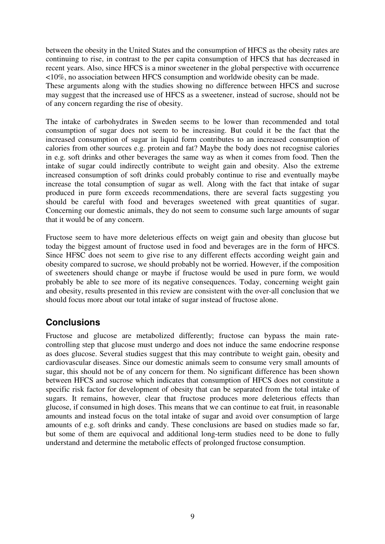between the obesity in the United States and the consumption of HFCS as the obesity rates are continuing to rise, in contrast to the per capita consumption of HFCS that has decreased in recent years. Also, since HFCS is a minor sweetener in the global perspective with occurrence <10%, no association between HFCS consumption and worldwide obesity can be made.

These arguments along with the studies showing no difference between HFCS and sucrose may suggest that the increased use of HFCS as a sweetener, instead of sucrose, should not be of any concern regarding the rise of obesity.

The intake of carbohydrates in Sweden seems to be lower than recommended and total consumption of sugar does not seem to be increasing. But could it be the fact that the increased consumption of sugar in liquid form contributes to an increased consumption of calories from other sources e.g. protein and fat? Maybe the body does not recognise calories in e.g. soft drinks and other beverages the same way as when it comes from food. Then the intake of sugar could indirectly contribute to weight gain and obesity. Also the extreme increased consumption of soft drinks could probably continue to rise and eventually maybe increase the total consumption of sugar as well. Along with the fact that intake of sugar produced in pure form exceeds recommendations, there are several facts suggesting you should be careful with food and beverages sweetened with great quantities of sugar. Concerning our domestic animals, they do not seem to consume such large amounts of sugar that it would be of any concern.

Fructose seem to have more deleterious effects on weigt gain and obesity than glucose but today the biggest amount of fructose used in food and beverages are in the form of HFCS. Since HFSC does not seem to give rise to any different effects according weight gain and obesity compared to sucrose, we should probably not be worried. However, if the composition of sweeteners should change or maybe if fructose would be used in pure form, we would probably be able to see more of its negative consequences. Today, concerning weight gain and obesity, results presented in this review are consistent with the over-all conclusion that we should focus more about our total intake of sugar instead of fructose alone.

## **Conclusions**

Fructose and glucose are metabolized differently; fructose can bypass the main ratecontrolling step that glucose must undergo and does not induce the same endocrine response as does glucose. Several studies suggest that this may contribute to weight gain, obesity and cardiovascular diseases. Since our domestic animals seem to consume very small amounts of sugar, this should not be of any concern for them. No significant difference has been shown between HFCS and sucrose which indicates that consumption of HFCS does not constitute a specific risk factor for development of obesity that can be separated from the total intake of sugars. It remains, however, clear that fructose produces more deleterious effects than glucose, if consumed in high doses. This means that we can continue to eat fruit, in reasonable amounts and instead focus on the total intake of sugar and avoid over consumption of large amounts of e.g. soft drinks and candy. These conclusions are based on studies made so far, but some of them are equivocal and additional long-term studies need to be done to fully understand and determine the metabolic effects of prolonged fructose consumption.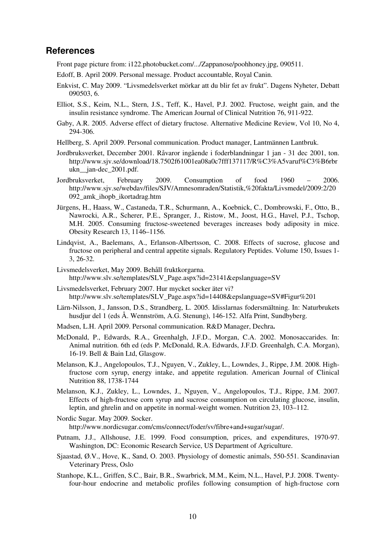#### **References**

Front page picture from: i122.photobucket.com/.../Zappanose/poohhoney.jpg, 090511.

- Edoff, B. April 2009. Personal message. Product accountable, Royal Canin.
- Enkvist, C. May 2009. "Livsmedelsverket mörkar att du blir fet av frukt". Dagens Nyheter, Debatt 090503, 6.
- Elliot, S.S., Keim, N.L., Stern, J.S., Teff, K., Havel, P.J. 2002. Fructose, weight gain, and the insulin resistance syndrome. The American Journal of Clinical Nutrition 76, 911-922.
- Gaby, A.R. 2005. Adverse effect of dietary fructose. Alternative Medicine Review, Vol 10, No 4, 294-306.
- Hellberg, S. April 2009. Personal communication. Product manager, Lantmännen Lantbruk.
- Jordbruksverket, December 2001. Råvaror ingående i foderblandningar 1 jan 31 dec 2001, ton. http://www.sjv.se/download/18.7502f61001ea08a0c7fff137117/R%C3%A5varuf%C3%B6rbr ukn\_\_jan-dec\_2001.pdf.
- Jordbruksverket, February 2009. Consumption of food 1960 2006. http://www.sjv.se/webdav/files/SJV/Amnesomraden/Statistik,%20fakta/Livsmedel/2009:2/20 092\_amk\_ihopb\_ikortadrag.htm
- Jürgens, H., Haass, W., Castaneda, T.R., Schurmann, A., Koebnick, C., Dombrowski, F., Otto, B., Nawrocki, A.R., Scherer, P.E., Spranger, J., Ristow, M., Joost, H.G., Havel, P.J., Tschop, M.H. 2005. Consuming fructose-sweetened beverages increases body adiposity in mice. Obesity Research 13, 1146–1156.
- Lindqvist, A., Baelemans, A., Erlanson-Albertsson, C. 2008. Effects of sucrose, glucose and fructose on peripheral and central appetite signals. Regulatory Peptides. Volume 150, Issues 1- 3, 26-32.
- Livsmedelsverket, May 2009. Behåll fruktkorgarna. http://www.slv.se/templates/SLV\_Page.aspx?id=23141&epslanguage=SV
- Livsmedelsverket, February 2007. Hur mycket socker äter vi? http://www.slv.se/templates/SLV\_Page.aspx?id=14408&epslanguage=SV#Figur%201
- Lärn-Nilsson, J., Jansson, D.S., Strandberg, L. 2005. Idisslarnas fodersmältning. In: Naturbrukets husdjur del 1 (eds Å. Wennström, A.G. Stenung), 146-152. Alfa Print, Sundbyberg.
- Madsen, L.H. April 2009. Personal communication. R&D Manager, Dechra**.**
- McDonald, P., Edwards, R.A., Greenhalgh, J.F.D., Morgan, C.A. 2002. Monosaccarides. In: Animal nutrition. 6th ed (eds P. McDonald, R.A. Edwards, J.F.D. Greenhalgh, C.A. Morgan), 16-19. Bell & Bain Ltd, Glasgow.
- Melanson, K.J., Angelopoulos, T.J., Nguyen, V., Zukley, L., Lowndes, J., Rippe, J.M. 2008. Highfructose corn syrup, energy intake, and appetite regulation. American Journal of Clinical Nutrition 88, 1738-1744
- Melanson, K.J., Zukley, L., Lowndes, J., Nguyen, V., Angelopoulos, T.J., Rippe, J.M. 2007. Effects of high-fructose corn syrup and sucrose consumption on circulating glucose, insulin, leptin, and ghrelin and on appetite in normal-weight women. Nutrition 23, 103–112.
- Nordic Sugar. May 2009. Socker. http://www.nordicsugar.com/cms/connect/foder/sv/fibre+and+sugar/sugar/.
- Putnam, J.J., Allshouse, J.E. 1999. Food consumption, prices, and expenditures, 1970-97. Washington, DC: Economic Research Service, US Department of Agriculture.
- Sjaastad, Ø.V., Hove, K., Sand, O. 2003. Physiology of domestic animals, 550-551. Scandinavian Veterinary Press, Oslo
- Stanhope, K.L., Griffen, S.C., Bair, B.R., Swarbrick, M.M., Keim, N.L., Havel, P.J. 2008. Twentyfour-hour endocrine and metabolic profiles following consumption of high-fructose corn